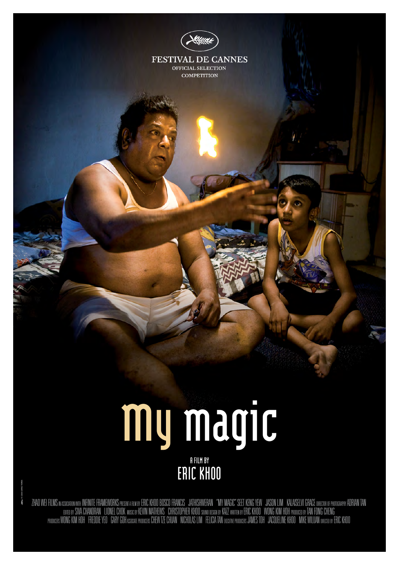

**FESTIVAL DE CANNES** OFFICIAL SELECTION **COMPETITION** 

# **mymagic A FILM BY ERIC KHOO**

ZHAO WEI FILMS wassoanowwm INFINITE FRAMEWORKS presenta plu by ERIC KHOO BOSCO FRANCIS "JATHISHWERAN "MY MAGIC" SEET KENG YEW "JASON LIM "KALAISELVI GRACE orector of photography ADRIAN TAN EDITED BY SIVA CHANDRAN LIONEL CHOK MUSIC BY KEVIN MATHEWS CHRISTOPHER KHOO SOUND DESIGN BY KAZZ WRITTEN BY ERIC KHOO WONG KIM HOH PRODUCED BY TAN FONG CHENG PRODUCERS WONG KIM HOH FREDDIE YEO "GARY GOHASSOCATE PRODUCERS CHEW TZE CHUAN "NICHOLAS LIM" FELICIA TAN eXECUNE FOMOLERIS KHOO "MIKE WILUAN DIRECTED BY ERIC KHOO

**/** © 2008 CARACTERES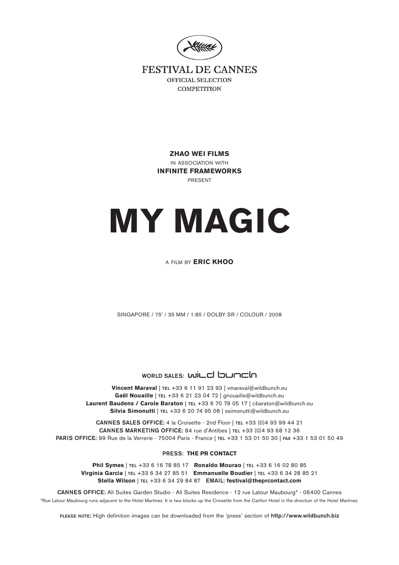

**FESTIVAL DE CANNES** OFFICIAL SELECTION **COMPETITION** 

> **ZHAO WEI FILMS**  IN ASSOCIATION WITH **INFINITE FRAMEWORKS**  PRESENT

# **MY MAGIC**

# A FILM BY **ERIC KHOO**

SINGAPORE / 75' / 35 MM / 1:85 / DOLBY SR / COLOUR / 2008

# **WORLD SALES: WILD DUNCH**

**Vincent Maraval** | **TEL** +33 6 11 91 23 93 | vmaraval@wildbunch.eu **Gaël Nouaille** | **TEL** +33 6 21 23 04 72 | gnouaille@wildbunch.eu **Laurent Baudens / Carole Baraton** | **TEL** +33 6 70 79 05 17 | cbaraton@wildbunch.eu **Silvia Simonutti** | **TEL** +33 6 20 74 95 08 | ssimonutti@wildbunch.eu

**CANNES SALES OFFICE:** 4 la Croisette - 2nd Floor | **TEL** +33 (0)4 93 99 44 21 **CANNES MARKETING OFFICE:** 84 rue d'Antibes | **TEL** +33 (0)4 93 68 12 36 **PARIS OFFICE:** 99 Rue de la Verrerie - 75004 Paris - France | **TEL** +33 1 53 01 50 30 | **FAX** +33 1 53 01 50 49

#### **PRESS: THE PR CONTACT**

**Phil Symes** | **TEL** +33 6 16 78 85 17 **Ronaldo Mourao** | **TEL** +33 6 16 02 80 85 **Virginia Garcia** | **TEL** +33 6 34 27 85 51 **Emmanuelle Boudier** | **TEL** +33 6 34 28 85 21 **Stella Wilson** | **TEL** +33 6 34 29 84 87 **EMAIL: festival@theprcontact.com** 

**CANNES OFFICE:** All Suites Garden Studio - All Suites Residence - 12 rue Latour Maubourg\* - 06400 Cannes \*Rue Latour Maubourg runs adjacent to the Hotel Martinez. It is two blocks up the Croisette from the Carlton Hotel in the direction of the Hotel Martinez.

**PLEASE NOTE:** High definition images can be downloaded from the 'press' section of **http://www.wildbunch.biz**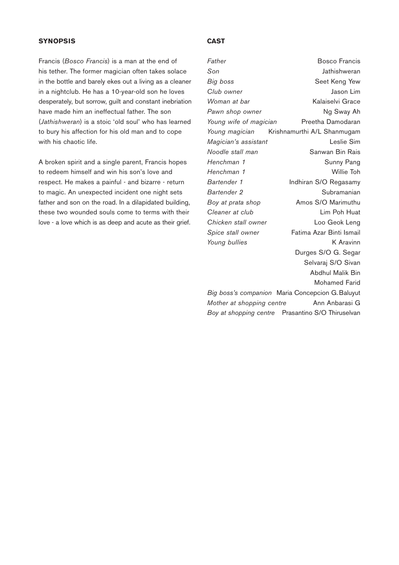# **SYNOPSIS**

Francis (*Bosco Francis*) is a man at the end of his tether. The former magician often takes solace in the bottle and barely ekes out a living as a cleaner in a nightclub. He has a 10-year-old son he loves desperately, but sorrow, guilt and constant inebriation have made him an ineffectual father. The son (*Jathishweran*) is a stoic 'old soul' who has learned to bury his affection for his old man and to cope with his chaotic life.

A broken spirit and a single parent, Francis hopes to redeem himself and win his son's love and respect. He makes a painful - and bizarre - return to magic. An unexpected incident one night sets father and son on the road. In a dilapidated building, these two wounded souls come to terms with their love - a love which is as deep and acute as their grief.

# **CAST**

*Father* Bosco Francis *Son* Jathishweran *Big boss* Seet Keng Yew *Club owner* Jason Lim *Woman at bar* Kalaiselvi Grace **Pawn shop owner** Ng Sway Ah *Young wife of magician* Preetha Damodaran *Young magician* Krishnamurthi A/L Shanmugam *Magician's assistant* Leslie Sim *Noodle stall man* Sanwan Bin Rais *Henchman 1* Sunny Pang *Henchman 1* Willie Toh *Bartender 1* Indhiran S/O Regasamy **Bartender 2** Subramanian *Boy at prata shop* Amos S/O Marimuthu *Cleaner at club* Lim Poh Huat *Chicken stall owner* Loo Geok Leng *Spice stall owner* Fatima Azar Binti Ismail *Young bullies* K Aravinn Durges S/O G. Segar Selvaraj S/O Sivan Abdhul Malik Bin Mohamed Farid *Big boss's companion* Maria Concepcion G.Baluyut *Mother at shopping centre* Ann Anbarasi G *Boy at shopping centre* Prasantino S/O Thiruselvan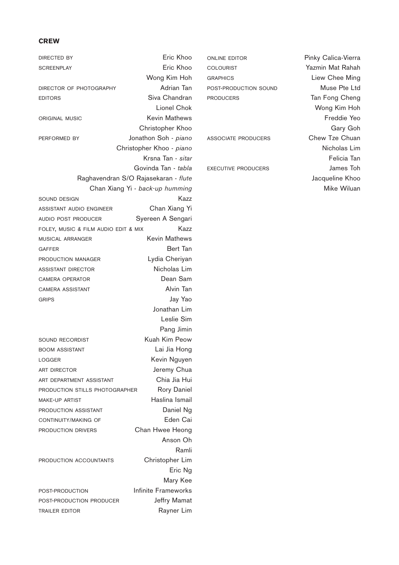#### **CREW**

DIRECTED BY **Example 20** Eric Khoo SCREENPLAY **Example 20** SCREENPLAY Wong Kim Hoh DIRECTOR OF PHOTOGRAPHY **Adrian Tan** EDITORS Siva Chandran Lionel Chok ORIGINAL MUSIC **Kevin Mathews** Christopher Khoo PERFORMED BY Jonathon Soh - *piano* Christopher Khoo - *piano* Krsna Tan - *sitar* Govinda Tan - *tabla* Raghavendran S/O Rajasekaran - *flute* Chan Xiang Yi - *back-up humming* SOUND DESIGN Kazz ASSISTANT AUDIO ENGINEER Chan Xiang Yi AUDIO POST PRODUCER<br>
Syereen A Sengari FOLEY, MUSIC & FILM AUDIO EDIT & MIX Kazz MUSICAL ARRANGER Kevin Mathews GAFFER **Bert Tan** PRODUCTION MANAGER Lydia Cheriyan ASSISTANT DIRECTOR Nicholas Lim CAMERA OPERATOR **Dean Sam** CAMERA ASSISTANT **Alvin Tan** GRIPS Jay Yao Jonathan Lim Leslie Sim Pang Jimin SOUND RECORDIST Kuah Kim Peow BOOM ASSISTANT Lai Jia Hong LOGGER Kevin Nguyen ART DIRECTOR Jeremy Chua ART DEPARTMENT ASSISTANT Chia Jia Hui PRODUCTION STILLS PHOTOGRAPHER Rory Daniel MAKE-UP ARTIST **Haslina Ismail** PRODUCTION ASSISTANT Daniel Ng CONTINUITY/MAKING OF **Eden Cai PRODUCTION DRIVERS** Chan Hwee Heong Anson Oh Ramli PRODUCTION ACCOUNTANTS Christopher Lim Eric Ng Mary Kee POST-PRODUCTION Infinite Frameworks POST-PRODUCTION PRODUCER Jeffry Mamat TRAILER EDITOR **Rayner Lim** 

ONLINE EDITOR Pinky Calica-Vierra COLOURIST Yazmin Mat Rahah GRAPHICS Liew Chee Ming POST-PRODUCTION SOUND Muse Pte Ltd PRODUCERS Tan Fong Cheng

Wong Kim Hoh Freddie Yeo Gary Goh ASSOCIATE PRODUCERS Chew Tze Chuan Nicholas Lim Felicia Tan EXECUTIVE PRODUCERS **SECUTIVE PRODUCERS** Jacqueline Khoo Mike Wiluan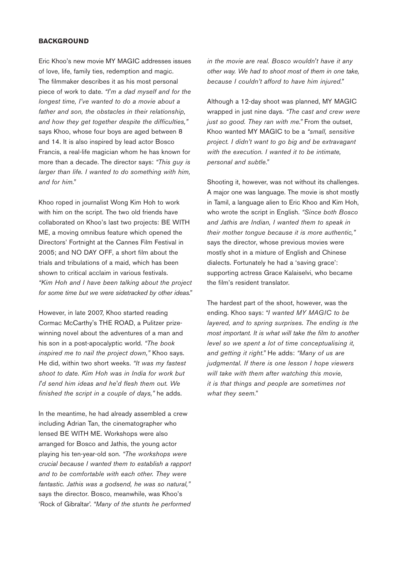# **BACKGROUND**

Eric Khoo's new movie MY MAGIC addresses issues of love, life, family ties, redemption and magic. The filmmaker describes it as his most personal piece of work to date. *"I'm a dad myself and for the longest time, I've wanted to do a movie about a father and son, the obstacles in their relationship, and how they get together despite the difficulties,"* says Khoo, whose four boys are aged between 8 and 14. It is also inspired by lead actor Bosco Francis, a real-life magician whom he has known for more than a decade. The director says: *"This guy is larger than life. I wanted to do something with him, and for him."*

Khoo roped in journalist Wong Kim Hoh to work with him on the script. The two old friends have collaborated on Khoo's last two projects: BE WITH ME, a moving omnibus feature which opened the Directors' Fortnight at the Cannes Film Festival in 2005; and NO DAY OFF, a short film about the trials and tribulations of a maid, which has been shown to critical acclaim in various festivals. *"Kim Hoh and I have been talking about the project for some time but we were sidetracked by other ideas."*

However, in late 2007, Khoo started reading Cormac McCarthy's THE ROAD, a Pulitzer prizewinning novel about the adventures of a man and his son in a post-apocalyptic world. *"The book inspired me to nail the project down,"* Khoo says. He did, within two short weeks. *"It was my fastest shoot to date. Kim Hoh was in India for work but I'd send him ideas and he'd flesh them out. We finished the script in a couple of days,"* he adds.

In the meantime, he had already assembled a crew including Adrian Tan, the cinematographer who lensed BE WITH ME. Workshops were also arranged for Bosco and Jathis, the young actor playing his ten-year-old son. *"The workshops were crucial because I wanted them to establish a rapport and to be comfortable with each other. They were fantastic. Jathis was a godsend, he was so natural,"* says the director. Bosco, meanwhile, was Khoo's 'Rock of Gibraltar'. *"Many of the stunts he performed*

*in the movie are real. Bosco wouldn't have it any other way. We had to shoot most of them in one take, because I couldn't afford to have him injured."*

Although a 12-day shoot was planned, MY MAGIC wrapped in just nine days. *"The cast and crew were just so good. They ran with me."* From the outset, Khoo wanted MY MAGIC to be a *"small, sensitive project. I didn't want to go big and be extravagant with the execution. I wanted it to be intimate, personal and subtle."*

Shooting it, however, was not without its challenges. A major one was language. The movie is shot mostly in Tamil, a language alien to Eric Khoo and Kim Hoh, who wrote the script in English. *"Since both Bosco and Jathis are Indian, I wanted them to speak in their mother tongue because it is more authentic,"* says the director, whose previous movies were mostly shot in a mixture of English and Chinese dialects. Fortunately he had a 'saving grace': supporting actress Grace Kalaiselvi, who became the film's resident translator.

The hardest part of the shoot, however, was the ending. Khoo says: *"I wanted MY MAGIC to be layered, and to spring surprises. The ending is the most important. It is what will take the film to another level so we spent a lot of time conceptualising it, and getting it right."* He adds: *"Many of us are judgmental. If there is one lesson I hope viewers will take with them after watching this movie, it is that things and people are sometimes not what they seem."*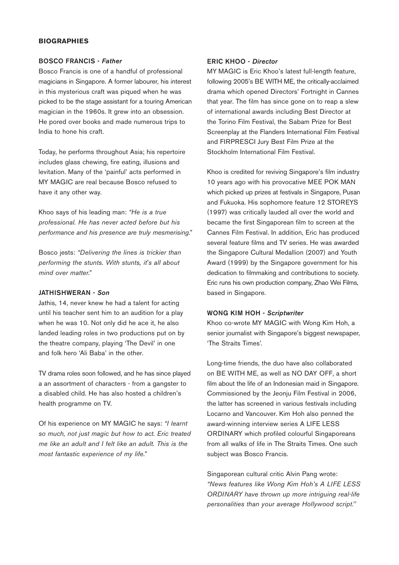# **BIOGRAPHIES**

#### BOSCO FRANCIS - *Father*

Bosco Francis is one of a handful of professional magicians in Singapore. A former labourer, his interest in this mysterious craft was piqued when he was picked to be the stage assistant for a touring American magician in the 1960s. It grew into an obsession. He pored over books and made numerous trips to India to hone his craft.

Today, he performs throughout Asia; his repertoire includes glass chewing, fire eating, illusions and levitation. Many of the 'painful' acts performed in MY MAGIC are real because Bosco refused to have it any other way.

Khoo says of his leading man: *"He is a true professional. He has never acted before but his performance and his presence are truly mesmerising."*

Bosco jests: *"Delivering the lines is trickier than performing the stunts. With stunts, it's all about mind over matter."* 

### JATHISHWERAN - *Son*

Jathis, 14, never knew he had a talent for acting until his teacher sent him to an audition for a play when he was 10. Not only did he ace it, he also landed leading roles in two productions put on by the theatre company, playing 'The Devil' in one and folk hero 'Ali Baba' in the other.

TV drama roles soon followed, and he has since played a an assortment of characters - from a gangster to a disabled child. He has also hosted a children's health programme on TV.

Of his experience on MY MAGIC he says: *"I learnt so much, not just magic but how to act. Eric treated me like an adult and I felt like an adult. This is the most fantastic experience of my life."*

#### ERIC KHOO - *Director*

MY MAGIC is Eric Khoo's latest full-length feature, following 2005's BE WITH ME, the critically-acclaimed drama which opened Directors' Fortnight in Cannes that year. The film has since gone on to reap a slew of international awards including Best Director at the Torino Film Festival, the Sabam Prize for Best Screenplay at the Flanders International Film Festival and FIRPRESCI Jury Best Film Prize at the Stockholm International Film Festival.

Khoo is credited for reviving Singapore's film industry 10 years ago with his provocative MEE POK MAN which picked up prizes at festivals in Singapore, Pusan and Fukuoka. His sophomore feature 12 STOREYS (1997) was critically lauded all over the world and became the first Singaporean film to screen at the Cannes Film Festival. In addition, Eric has produced several feature films and TV series. He was awarded the Singapore Cultural Medallion (2007) and Youth Award (1999) by the Singapore government for his dedication to filmmaking and contributions to society. Eric runs his own production company, Zhao Wei Films, based in Singapore.

# WONG KIM HOH - *Scriptwriter*

Khoo co-wrote MY MAGIC with Wong Kim Hoh, a senior journalist with Singapore's biggest newspaper, 'The Straits Times'.

Long-time friends, the duo have also collaborated on BE WITH ME, as well as NO DAY OFF, a short film about the life of an Indonesian maid in Singapore. Commissioned by the Jeonju Film Festival in 2006, the latter has screened in various festivals including Locarno and Vancouver. Kim Hoh also penned the award-winning interview series A LIFE LESS ORDINARY which profiled colourful Singaporeans from all walks of life in The Straits Times. One such subject was Bosco Francis.

Singaporean cultural critic Alvin Pang wrote: *"News features like Wong Kim Hoh's A LIFE LESS ORDINARY have thrown up more intriguing real-life personalities than your average Hollywood script.''*